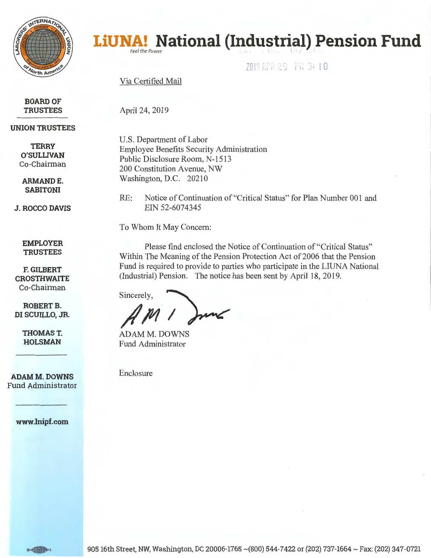

# **LiUNA! National (Industrial) Pension Fund**

,i"I l Q r .... , .. · -~ '.. , : 0 **i. u** I 1,1 l ...... .,J f j 1· .\_l• )

Via Certified Mail

April 24, 2019

**BOARD OF TRUSTEES** 

# **UNION TRUSTEES**

**TERRY O'SULLIVAN**  Co-Chairman

**ARMANDE. SABITONI** 

**J. ROCCO DAVIS** 

RE: Notice of Continuation of "Critical Status" for Plan Number 001 and EIN 52-6074345

Please find enclosed the Notice of Continuation of "Critical Status"

Within The Meaning of the Pension Protection Act of 2006 that the Pension Fund is required to provide to parties who participate in the LIUNA National

(Industrial) Pension. The notice has been sent by April 18, 2019.

To Whom It May Concern:

U.S. Department of Labor

Public Disclosure Room, N-1513 200 Constitution Avenue, NW Washington, D.C. 20210

Employee Benefits Security Administration

**EMPLOYER TRUSTEES** 

**F. GILBERT CROSTHWAITE**  Co-Chairman

**ROBERT B. DI SCUILLO, JR.** 

> **THOMAST. HOLSMAN**

**ADAM M. DOWNS**  Fund Administrator

**www.lnipf.com** 

Sincerely, *,#* **/t1** *<sup>I</sup>*

ADAM M. DOWNS Fund Administrator

Enclosure

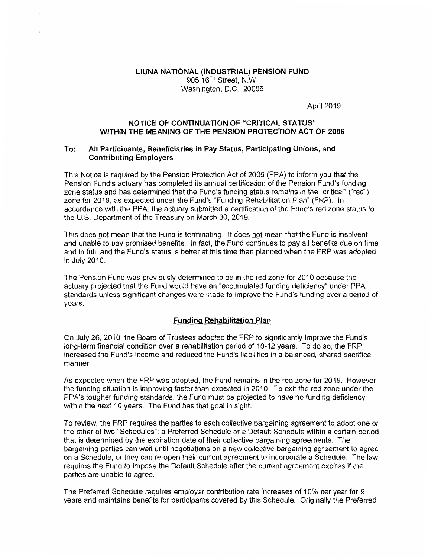## **LIUNA NATIONAL (INDUSTRIAL) PENSION FUND**  905 16TH Street, N.W. Washington, D.C. 20006

April 2019

## **NOTICE OF CONTINUATION OF "CRITICAL STATUS" WITHIN THE MEANING OF THE PENSION PROTECTION ACT OF 2006**

## **To: All Participants, Beneficiaries in Pay Status, Participating Unions, and Contributing Employers**

This Notice is required by the Pension Protection Act of 2006 (PPA) to inform you that the Pension Fund's actuary has completed its annual certification of the Pension Fund's funding zone status and has determined that the Fund's funding status remains in the "critical" ("red") zone for 2019, as expected under the Fund's "Funding Rehabilitation Plan" (FRP). In accordance with the PPA, the actuary submitted a certification of the Fund's red zone status to the U.S. Department of the Treasury on March 30, 2019.

This does not mean that the Fund is terminating. It does not mean that the Fund is insolvent and unable to pay promised benefits. In fact, the Fund continues to pay all benefits due on time and in full, and the Fund's status is better at this time than planned when the FRP was adopted in July 2010.

The Pension Fund was previously determined to be in the red zone for 2010 because the actuary projected that the Fund would have an "accumulated funding deficiency" under PPA standards unless significant changes were made to improve the Fund's funding over a period of years.

# **Funding Rehabilitation Plan**

On July 26, 2010, the Board of Trustees adopted the FRP to significantly improve the Fund's long-term financial condition over a rehabilitation period of 10-12 years. To do so, the FRP increased the Fund's income and reduced the Fund's liabilities in a balanced, shared sacrifice manner.

As expected when the FRP was adopted, the Fund remains in the red zone for 2019. However, the funding situation is improving faster than expected in 2010. To exit the red zone under the PPA's tougher funding standards, the Fund must be projected to have no funding deficiency within the next 10 years. The Fund has that goal in sight.

To review, the FRP requires the parties to each collective bargaining agreement to adopt one or the other of two "Schedules": a Preferred Schedule or a Default Schedule within a certain period that is determined by the expiration date of their collective bargaining agreements. The bargaining parties can wait until negotiations on a new collective bargaining agreement to agree on a Schedule, or they can re-open their current agreement to incorporate a Schedule. The law requires the Fund to impose the Default Schedule after the current agreement expires if the parties are unable to agree.

The Preferred Schedule requires employer contribution rate increases of 10% per year for 9 years and maintains benefits for participants covered by this Schedule. Originally the Preferred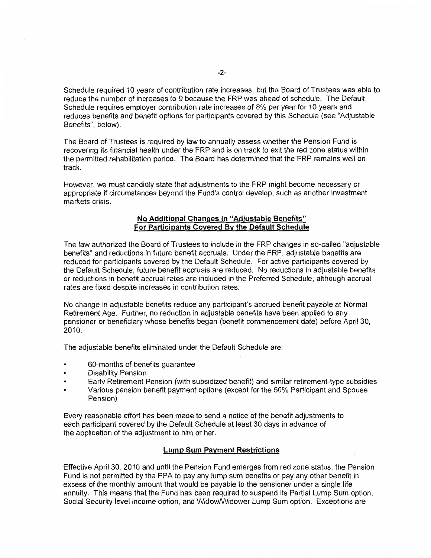Schedule required 10 years of contribution rate increases, but the Board of Trustees was able to reduce the number of increases to 9 because the FRP was ahead of schedule. The Default Schedule requires employer contribution rate increases of 8% per year for 10 years and reduces benefits and benefit options for participants covered by this Schedule ( see "Adjustable Benefits", below).

The Board of Trustees is required by law to annually assess whether the Pension Fund is recovering its financial health under the FRP and is on track to exit the red zone status within the permitted rehabilitation period. The Board has determined that the FRP remains well on track.

However, we must candidly state that adjustments to the FRP might become necessary or appropriate if circumstances beyond the Fund's control develop, such as another investment markets crisis.

## **No Additional Changes in "Adiustable Benefits" For Participants Covered By the Default Schedule**

The law authorized the Board of Trustees to include in the FRP changes in so-called "adjustable benefits" and reductions in future benefit accruals. Under the FRP, adjustable benefits are reduced for participants covered by the Default Schedule. For active participants covered by the Default Schedule, future benefit accruals are reduced. No reductions in adjustable benefits or reductions in benefit accrual rates are included in the Preferred Schedule, although accrual rates are fixed despite increases in contribution rates.

No change in adjustable benefits reduce any participant's accrued benefit payable at Normal Retirement Age. Further, no reduction in adjustable benefits have been applied to any pensioner or beneficiary whose benefits began (benefit commencement date) before April 30, 2010.

The adjustable benefits eliminated under the Default Schedule are:

- 60-months of benefits guarantee
- Disability Pension
- Early Retirement Pension (with subsidized benefit) and similar retirement-type subsidies
- Various pension benefit payment options (except for the 50% Participant and Spouse Pension)

Every reasonable effort has been made to send a notice of the benefit adjustments to each participant covered by the Default Schedule at least 30 days in advance of the application of the adjustment to him or her.

#### **Lump Sum Payment Restrictions**

Effective April 30, 2010 and until the Pension Fund emerges from red zone status, the Pension Fund is not permitted by the PPA to pay any lump sum benefits or pay any other benefit in excess of the monthly amount that would be payable to the pensioner under a single life annuity. This means that the Fund has been required to suspend its Partial Lump Sum option, Social Security level income option, and Widow/Widower Lump Sum option. Exceptions are